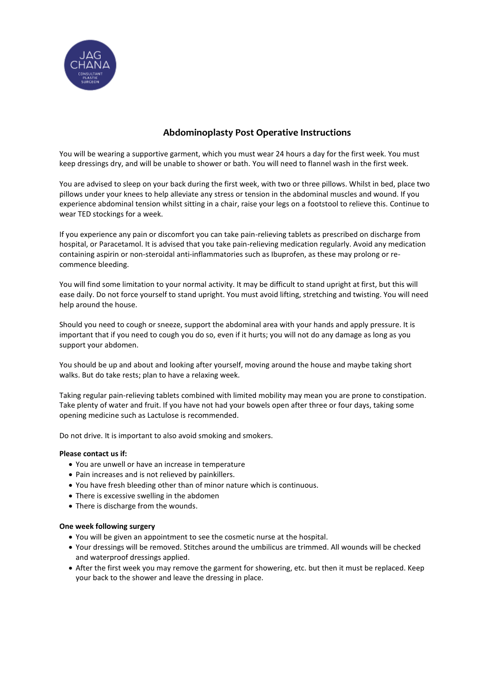

# **Abdominoplasty Post Operative Instructions**

You will be wearing a supportive garment, which you must wear 24 hours a day for the first week. You must keep dressings dry, and will be unable to shower or bath. You will need to flannel wash in the first week.

You are advised to sleep on your back during the first week, with two or three pillows. Whilst in bed, place two pillows under your knees to help alleviate any stress or tension in the abdominal muscles and wound. If you experience abdominal tension whilst sitting in a chair, raise your legs on a footstool to relieve this. Continue to wear TED stockings for a week.

If you experience any pain or discomfort you can take pain-relieving tablets as prescribed on discharge from hospital, or Paracetamol. It is advised that you take pain-relieving medication regularly. Avoid any medication containing aspirin or non-steroidal anti-inflammatories such as Ibuprofen, as these may prolong or recommence bleeding.

You will find some limitation to your normal activity. It may be difficult to stand upright at first, but this will ease daily. Do not force yourself to stand upright. You must avoid lifting, stretching and twisting. You will need help around the house.

Should you need to cough or sneeze, support the abdominal area with your hands and apply pressure. It is important that if you need to cough you do so, even if it hurts; you will not do any damage as long as you support your abdomen.

You should be up and about and looking after yourself, moving around the house and maybe taking short walks. But do take rests; plan to have a relaxing week.

Taking regular pain-relieving tablets combined with limited mobility may mean you are prone to constipation. Take plenty of water and fruit. If you have not had your bowels open after three or four days, taking some opening medicine such as Lactulose is recommended.

Do not drive. It is important to also avoid smoking and smokers.

## **Please contact us if:**

- You are unwell or have an increase in temperature
- Pain increases and is not relieved by painkillers.
- You have fresh bleeding other than of minor nature which is continuous.
- There is excessive swelling in the abdomen
- There is discharge from the wounds.

#### **One week following surgery**

- You will be given an appointment to see the cosmetic nurse at the hospital.
- Your dressings will be removed. Stitches around the umbilicus are trimmed. All wounds will be checked and waterproof dressings applied.
- After the first week you may remove the garment for showering, etc. but then it must be replaced. Keep your back to the shower and leave the dressing in place.